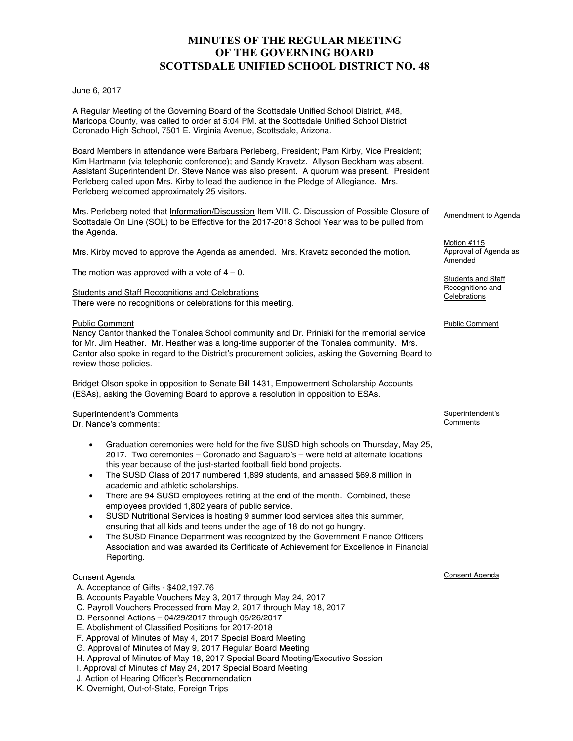# **MINUTES OF THE REGULAR MEETING OF THE GOVERNING BOARD SCOTTSDALE UNIFIED SCHOOL DISTRICT NO. 48**

#### June 6, 2017

A Regular Meeting of the Governing Board of the Scottsdale Unified School District, #48, Maricopa County, was called to order at 5:04 PM, at the Scottsdale Unified School District Coronado High School, 7501 E. Virginia Avenue, Scottsdale, Arizona.

Board Members in attendance were Barbara Perleberg, President; Pam Kirby, Vice President; Kim Hartmann (via telephonic conference); and Sandy Kravetz. Allyson Beckham was absent. Assistant Superintendent Dr. Steve Nance was also present. A quorum was present. President Perleberg called upon Mrs. Kirby to lead the audience in the Pledge of Allegiance. Mrs. Perleberg welcomed approximately 25 visitors.

Mrs. Perleberg noted that Information/Discussion Item VIII. C. Discussion of Possible Closure of Scottsdale On Line (SOL) to be Effective for the 2017-2018 School Year was to be pulled from the Agenda.

Mrs. Kirby moved to approve the Agenda as amended. Mrs. Kravetz seconded the motion.

The motion was approved with a vote of  $4 - 0$ .

Students and Staff Recognitions and Celebrations There were no recognitions or celebrations for this meeting.

#### Public Comment

Nancy Cantor thanked the Tonalea School community and Dr. Priniski for the memorial service for Mr. Jim Heather. Mr. Heather was a long-time supporter of the Tonalea community. Mrs. Cantor also spoke in regard to the District's procurement policies, asking the Governing Board to review those policies.

Bridget Olson spoke in opposition to Senate Bill 1431, Empowerment Scholarship Accounts (ESAs), asking the Governing Board to approve a resolution in opposition to ESAs.

#### Superintendent's Comments

Dr. Nance's comments:

- Graduation ceremonies were held for the five SUSD high schools on Thursday, May 25, 2017. Two ceremonies – Coronado and Saguaro's – were held at alternate locations this year because of the just-started football field bond projects.
- The SUSD Class of 2017 numbered 1,899 students, and amassed \$69.8 million in academic and athletic scholarships.
- There are 94 SUSD employees retiring at the end of the month. Combined, these employees provided 1,802 years of public service.
- SUSD Nutritional Services is hosting 9 summer food services sites this summer, ensuring that all kids and teens under the age of 18 do not go hungry.
- The SUSD Finance Department was recognized by the Government Finance Officers Association and was awarded its Certificate of Achievement for Excellence in Financial Reporting.

### Consent Agenda

- A. Acceptance of Gifts \$402,197.76 B. Accounts Payable Vouchers May 3, 2017 through May 24, 2017 C. Payroll Vouchers Processed from May 2, 2017 through May 18, 2017 D. Personnel Actions – 04/29/2017 through 05/26/2017 E. Abolishment of Classified Positions for 2017-2018
- F. Approval of Minutes of May 4, 2017 Special Board Meeting
- G. Approval of Minutes of May 9, 2017 Regular Board Meeting
- H. Approval of Minutes of May 18, 2017 Special Board Meeting/Executive Session
- I. Approval of Minutes of May 24, 2017 Special Board Meeting
- J. Action of Hearing Officer's Recommendation
- K. Overnight, Out-of-State, Foreign Trips

## Amendment to Agenda

Motion #115 Approval of Agenda as Amended

**Students and Staff** Recognitions and **Celebrations** 

Public Comment

Superintendent's **Comments** 

Consent Agenda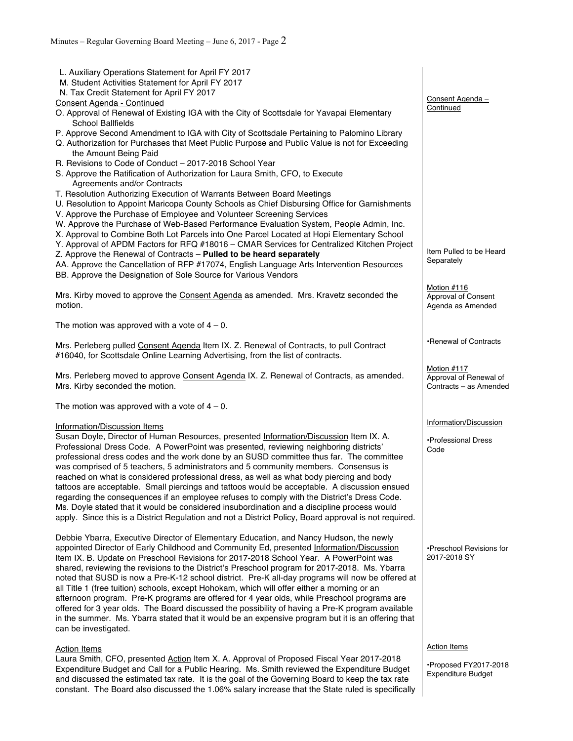| L. Auxiliary Operations Statement for April FY 2017<br>M. Student Activities Statement for April FY 2017<br>N. Tax Credit Statement for April FY 2017                                           |                          |
|-------------------------------------------------------------------------------------------------------------------------------------------------------------------------------------------------|--------------------------|
| Consent Agenda - Continued                                                                                                                                                                      | Consent Agenda -         |
| O. Approval of Renewal of Existing IGA with the City of Scottsdale for Yavapai Elementary<br><b>School Ballfields</b>                                                                           | Continued                |
| P. Approve Second Amendment to IGA with City of Scottsdale Pertaining to Palomino Library                                                                                                       |                          |
| Q. Authorization for Purchases that Meet Public Purpose and Public Value is not for Exceeding                                                                                                   |                          |
| the Amount Being Paid                                                                                                                                                                           |                          |
| R. Revisions to Code of Conduct - 2017-2018 School Year<br>S. Approve the Ratification of Authorization for Laura Smith, CFO, to Execute                                                        |                          |
| Agreements and/or Contracts                                                                                                                                                                     |                          |
| T. Resolution Authorizing Execution of Warrants Between Board Meetings                                                                                                                          |                          |
| U. Resolution to Appoint Maricopa County Schools as Chief Disbursing Office for Garnishments                                                                                                    |                          |
| V. Approve the Purchase of Employee and Volunteer Screening Services                                                                                                                            |                          |
| W. Approve the Purchase of Web-Based Performance Evaluation System, People Admin, Inc.                                                                                                          |                          |
| X. Approval to Combine Both Lot Parcels into One Parcel Located at Hopi Elementary School                                                                                                       |                          |
| Y. Approval of APDM Factors for RFQ #18016 - CMAR Services for Centralized Kitchen Project                                                                                                      | Item Pulled to be Heard  |
| Z. Approve the Renewal of Contracts - Pulled to be heard separately<br>AA. Approve the Cancellation of RFP #17074, English Language Arts Intervention Resources                                 | Separately               |
| BB. Approve the Designation of Sole Source for Various Vendors                                                                                                                                  |                          |
|                                                                                                                                                                                                 | Motion #116              |
| Mrs. Kirby moved to approve the Consent Agenda as amended. Mrs. Kravetz seconded the                                                                                                            | Approval of Consent      |
| motion.                                                                                                                                                                                         | Agenda as Amended        |
| The motion was approved with a vote of $4 - 0$ .                                                                                                                                                |                          |
| Mrs. Perleberg pulled Consent Agenda Item IX. Z. Renewal of Contracts, to pull Contract                                                                                                         | •Renewal of Contracts    |
| #16040, for Scottsdale Online Learning Advertising, from the list of contracts.                                                                                                                 |                          |
|                                                                                                                                                                                                 | Motion #117              |
| Mrs. Perleberg moved to approve Consent Agenda IX. Z. Renewal of Contracts, as amended.                                                                                                         | Approval of Renewal of   |
| Mrs. Kirby seconded the motion.                                                                                                                                                                 | Contracts - as Amended   |
|                                                                                                                                                                                                 |                          |
| The motion was approved with a vote of $4 - 0$ .                                                                                                                                                |                          |
| Information/Discussion Items                                                                                                                                                                    | Information/Discussion   |
| Susan Doyle, Director of Human Resources, presented Information/Discussion Item IX. A.                                                                                                          | •Professional Dress      |
| Professional Dress Code. A PowerPoint was presented, reviewing neighboring districts'                                                                                                           | Code                     |
| professional dress codes and the work done by an SUSD committee thus far. The committee                                                                                                         |                          |
| was comprised of 5 teachers, 5 administrators and 5 community members. Consensus is                                                                                                             |                          |
| reached on what is considered professional dress, as well as what body piercing and body<br>tattoos are acceptable. Small piercings and tattoos would be acceptable. A discussion ensued        |                          |
| regarding the consequences if an employee refuses to comply with the District's Dress Code.                                                                                                     |                          |
| Ms. Doyle stated that it would be considered insubordination and a discipline process would                                                                                                     |                          |
| apply. Since this is a District Regulation and not a District Policy, Board approval is not required.                                                                                           |                          |
|                                                                                                                                                                                                 |                          |
|                                                                                                                                                                                                 |                          |
| Debbie Ybarra, Executive Director of Elementary Education, and Nancy Hudson, the newly                                                                                                          |                          |
| appointed Director of Early Childhood and Community Ed, presented Information/Discussion                                                                                                        | •Preschool Revisions for |
| Item IX. B. Update on Preschool Revisions for 2017-2018 School Year. A PowerPoint was                                                                                                           | 2017-2018 SY             |
| shared, reviewing the revisions to the District's Preschool program for 2017-2018. Ms. Ybarra                                                                                                   |                          |
| noted that SUSD is now a Pre-K-12 school district. Pre-K all-day programs will now be offered at<br>all Title 1 (free tuition) schools, except Hohokam, which will offer either a morning or an |                          |
| afternoon program. Pre-K programs are offered for 4 year olds, while Preschool programs are                                                                                                     |                          |
| offered for 3 year olds. The Board discussed the possibility of having a Pre-K program available                                                                                                |                          |
| in the summer. Ms. Ybarra stated that it would be an expensive program but it is an offering that                                                                                               |                          |
| can be investigated.                                                                                                                                                                            |                          |
| <b>Action Items</b>                                                                                                                                                                             | <b>Action Items</b>      |
| Laura Smith, CFO, presented Action Item X. A. Approval of Proposed Fiscal Year 2017-2018<br>Expenditure Budget and Call for a Public Hearing. Ms. Smith reviewed the Expenditure Budget         | •Proposed FY2017-2018    |

and discussed the estimated tax rate. It is the goal of the Governing Board to keep the tax rate constant. The Board also discussed the 1.06% salary increase that the State ruled is specifically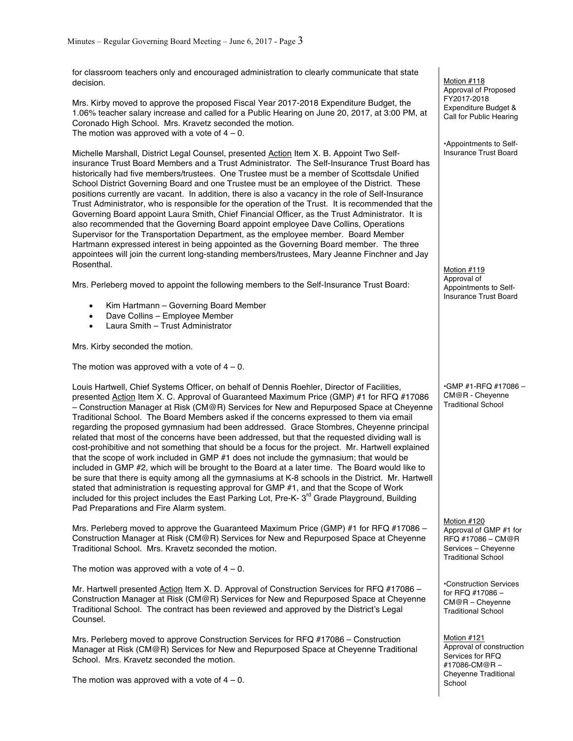for classroom teachers only and encouraged administration to clearly communicate that state decision.

Mrs. Kirby moved to approve the proposed Fiscal Year 2017-2018 Expenditure Budget, the 1.06% teacher salary increase and called for a Public Hearing on June 20, 2017, at 3:00 PM, at Coronado High School. Mrs. Kravetz seconded the motion. The motion was approved with a vote of  $4 - 0$ .

Michelle Marshall, District Legal Counsel, presented Action Item X. B. Appoint Two Selfinsurance Trust Board Members and a Trust Administrator. The Self-Insurance Trust Board has historically had five members/trustees. One Trustee must be a member of Scottsdale Unified School District Governing Board and one Trustee must be an employee of the District. These positions currently are vacant. In addition, there is also a vacancy in the role of Self-Insurance Trust Administrator, who is responsible for the operation of the Trust. It is recommended that the Governing Board appoint Laura Smith, Chief Financial Officer, as the Trust Administrator. It is also recommended that the Governing Board appoint employee Dave Collins, Operations Supervisor for the Transportation Department, as the employee member. Board Member Hartmann expressed interest in being appointed as the Governing Board member. The three appointees will join the current long-standing members/trustees, Mary Jeanne Finchner and Jay Rosenthal.

Mrs. Perleberg moved to appoint the following members to the Self-Insurance Trust Board:

- Kim Hartmann Governing Board Member
- Dave Collins Employee Member
- Laura Smith Trust Administrator

Mrs. Kirby seconded the motion.

The motion was approved with a vote of  $4 - 0$ .

Louis Hartwell, Chief Systems Officer, on behalf of Dennis Roehler, Director of Facilities, presented Action Item X. C. Approval of Guaranteed Maximum Price (GMP) #1 for RFQ #17086 – Construction Manager at Risk (CM@R) Services for New and Repurposed Space at Cheyenne Traditional School. The Board Members asked if the concerns expressed to them via email regarding the proposed gymnasium had been addressed. Grace Stombres, Cheyenne principal related that most of the concerns have been addressed, but that the requested dividing wall is cost-prohibitive and not something that should be a focus for the project. Mr. Hartwell explained that the scope of work included in GMP #1 does not include the gymnasium; that would be included in GMP #2, which will be brought to the Board at a later time. The Board would like to be sure that there is equity among all the gymnasiums at K-8 schools in the District. Mr. Hartwell stated that administration is requesting approval for GMP #1, and that the Scope of Work included for this project includes the East Parking Lot, Pre-K-  $3<sup>rd</sup>$  Grade Playground, Building Pad Preparations and Fire Alarm system.

Mrs. Perleberg moved to approve the Guaranteed Maximum Price (GMP) #1 for RFQ #17086 – Construction Manager at Risk (CM@R) Services for New and Repurposed Space at Cheyenne Traditional School. Mrs. Kravetz seconded the motion.

The motion was approved with a vote of  $4 - 0$ .

Mr. Hartwell presented Action Item X. D. Approval of Construction Services for RFQ #17086 -Construction Manager at Risk (CM@R) Services for New and Repurposed Space at Cheyenne Traditional School. The contract has been reviewed and approved by the District's Legal Counsel.

Mrs. Perleberg moved to approve Construction Services for RFQ #17086 – Construction Manager at Risk (CM@R) Services for New and Repurposed Space at Cheyenne Traditional School. Mrs. Kravetz seconded the motion.

The motion was approved with a vote of  $4 - 0$ .

Motion #118 Approval of Proposed FY2017-2018 Expenditure Budget & Call for Public Hearing

•Appointments to Self-Insurance Trust Board

Motion #119 Approval of Appointments to Self-Insurance Trust Board

•GMP #1-RFQ #17086 – CM@R - Cheyenne Traditional School

Motion #120 Approval of GMP #1 for RFQ #17086 – CM@R Services – Cheyenne Traditional School

•Construction Services for RFQ #17086 – CM@R – Cheyenne Traditional School

Motion #121 Approval of construction Services for RFQ #17086-CM@R – Cheyenne Traditional School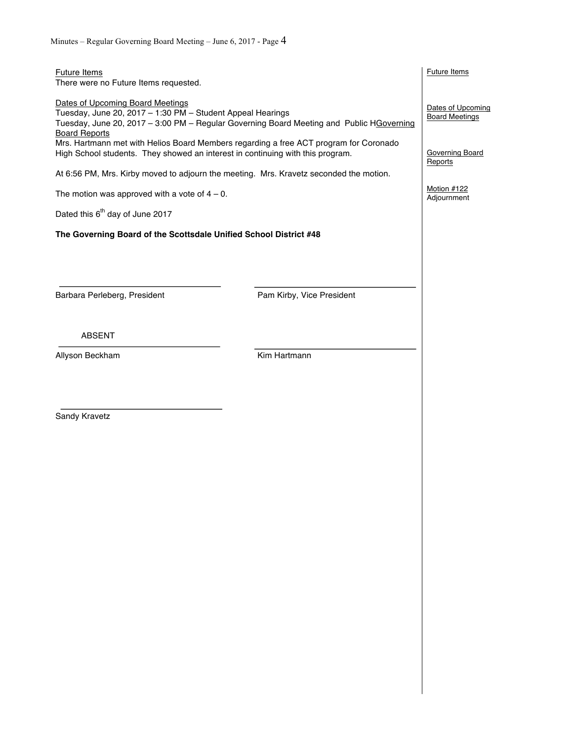| <b>Future Items</b><br>There were no Future Items requested.                                                                                                                                                       |                                                                                        | <b>Future Items</b>               |
|--------------------------------------------------------------------------------------------------------------------------------------------------------------------------------------------------------------------|----------------------------------------------------------------------------------------|-----------------------------------|
| Dates of Upcoming Board Meetings<br>Tuesday, June 20, 2017 - 1:30 PM - Student Appeal Hearings<br>Tuesday, June 20, 2017 - 3:00 PM - Regular Governing Board Meeting and Public HGoverning<br><b>Board Reports</b> | Dates of Upcoming<br><b>Board Meetings</b>                                             |                                   |
| Mrs. Hartmann met with Helios Board Members regarding a free ACT program for Coronado<br>High School students. They showed an interest in continuing with this program.                                            |                                                                                        | <b>Governing Board</b><br>Reports |
|                                                                                                                                                                                                                    | At 6:56 PM, Mrs. Kirby moved to adjourn the meeting. Mrs. Kravetz seconded the motion. |                                   |
| The motion was approved with a vote of $4 - 0$ .                                                                                                                                                                   |                                                                                        | Motion #122<br>Adjournment        |
| Dated this 6 <sup>th</sup> day of June 2017                                                                                                                                                                        |                                                                                        |                                   |
| The Governing Board of the Scottsdale Unified School District #48                                                                                                                                                  |                                                                                        |                                   |
|                                                                                                                                                                                                                    |                                                                                        |                                   |
|                                                                                                                                                                                                                    |                                                                                        |                                   |
| Barbara Perleberg, President                                                                                                                                                                                       | Pam Kirby, Vice President                                                              |                                   |
|                                                                                                                                                                                                                    |                                                                                        |                                   |
| <b>ABSENT</b>                                                                                                                                                                                                      |                                                                                        |                                   |
| Allyson Beckham                                                                                                                                                                                                    | Kim Hartmann                                                                           |                                   |
|                                                                                                                                                                                                                    |                                                                                        |                                   |
|                                                                                                                                                                                                                    |                                                                                        |                                   |
| Sandy Kravetz                                                                                                                                                                                                      |                                                                                        |                                   |
|                                                                                                                                                                                                                    |                                                                                        |                                   |
|                                                                                                                                                                                                                    |                                                                                        |                                   |
|                                                                                                                                                                                                                    |                                                                                        |                                   |
|                                                                                                                                                                                                                    |                                                                                        |                                   |
|                                                                                                                                                                                                                    |                                                                                        |                                   |
|                                                                                                                                                                                                                    |                                                                                        |                                   |
|                                                                                                                                                                                                                    |                                                                                        |                                   |
|                                                                                                                                                                                                                    |                                                                                        |                                   |
|                                                                                                                                                                                                                    |                                                                                        |                                   |